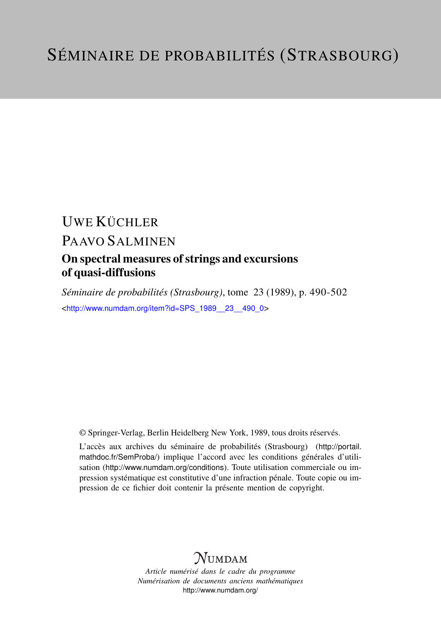# UWE KÜCHLER

# PAAVO SALMINEN

# On spectral measures of strings and excursions of quasi-diffusions

*Séminaire de probabilités (Strasbourg)*, tome 23 (1989), p. 490-502 <[http://www.numdam.org/item?id=SPS\\_1989\\_\\_23\\_\\_490\\_0](http://www.numdam.org/item?id=SPS_1989__23__490_0)>

© Springer-Verlag, Berlin Heidelberg New York, 1989, tous droits réservés.

L'accès aux archives du séminaire de probabilités (Strasbourg) ([http://portail.](http://portail.mathdoc.fr/SemProba/) [mathdoc.fr/SemProba/](http://portail.mathdoc.fr/SemProba/)) implique l'accord avec les conditions générales d'utilisation (<http://www.numdam.org/conditions>). Toute utilisation commerciale ou impression systématique est constitutive d'une infraction pénale. Toute copie ou impression de ce fichier doit contenir la présente mention de copyright.

# **NUMDAM**

*Article numérisé dans le cadre du programme Numérisation de documents anciens mathématiques* <http://www.numdam.org/>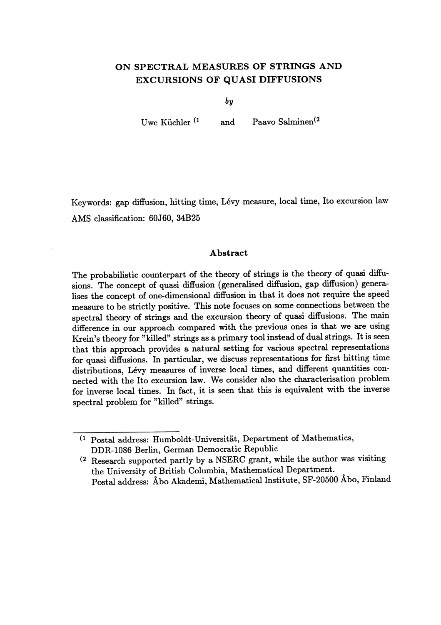## ON SPECTRAL MEASURES OF STRINGS AND EXCURSIONS OF QUASI DIFFUSIONS

by

Uwe Küchler<sup>(1</sup> and Paavo Salminen<sup>(2</sup>)

Keywords: gap diffusion, hitting time, Lévy measure, local time, Ito excursion law AMS classification: 60J60, 34B25

### Abstract

The probabilistic counterpart of the theory of strings is the theory of quasi diffusions. The concept of quasi diffusion (generalised diffusion, gap diffusion) generalises the concept of one-dimensional diffusion in that it does not require the speed measure to be strictly positive. This note focuses on some connections between the spectral theory of strings and the excursion theory of quasi diffusions. The main difference in our approach compared with the previous ones is that we are using Krein's theory for "killed" strings as a primary tool instead of dual strings. It is seen that this approach provides a natural setting for various spectral representations for quasi diffusions. In particular, we discuss representations for first hitting time distributions, Lévy measures of inverse local times, and different quantities connected with the Ito excursion law. We consider also the characterisation problem for inverse local times. In fact, it is seen that this is equivalent with the inverse spectral problem for "killed" strings.

(1 Postal address: Humboldt-Universitat, Department of Mathematics, DDR-1086 Berlin, German Democratic Republic

(2 Research supported partly by a NSERC grant, while the author was visiting the University of British Columbia, Mathematical Department. Postal address: Abo Akademi, Mathematical Institute, SF-20500 Abo, Finland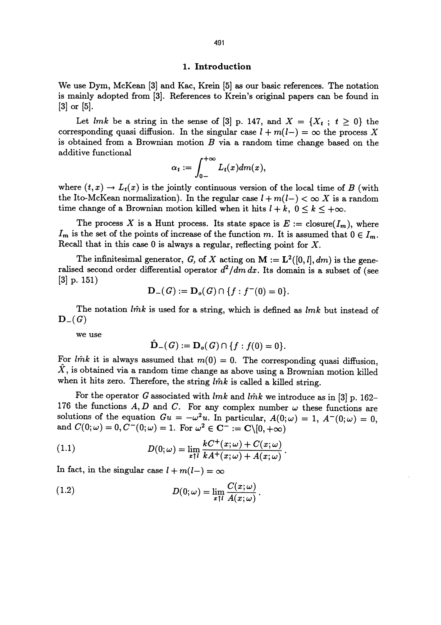#### 1. Introduction

We use Dym, McKean [3] and Kac, Krein [5] as our basic references. The notation is mainly adopted from [3]. References to Krein's original papers can be found in [3] or [5].

Let lmk be a string in the sense of [3] p. 147, and  $X = \{X_t : t \geq 0\}$  the corresponding quasi diffusion. In the singular case  $l + m(l-) = \infty$  the process X is obtained from a Brownian motion  $B$  via a random time change based on the additive functional

$$
\alpha_t := \int_{0-}^{+\infty} L_t(x) dm(x),
$$

where  $(t, x) \rightarrow L_t(x)$  is the jointly continuous version of the local time of B (with the Ito-McKean normalization). In the regular case  $l + m(l-) < \infty$  X is a random time change of a Brownian motion killed when it hits  $l + k$ ,  $0 \le k \le +\infty$ .

The process X is a Hunt process. Its state space is  $E := \text{closure}(I_m)$ , where  $I_m$  is the set of the points of increase of the function m. It is assumed that  $0 \in I_m$ . Recall that in this case  $0$  is always a regular, reflecting point for  $X$ .

The infinitesimal generator, G, of X acting on  $M := L^2([0, l], dm)$  is the generalised second order differential operator  $d^2/dm dx$ . Its domain is a subset of (see [3] p. 151)

$$
\mathbf{D}_{-}(G):=\mathbf{D}_{o}(G)\cap \{f:f^{-}(0)=0\}.
$$

The notation  $\hat{lmk}$  is used for a string, which is defined as  $\hat{lmk}$  but instead of  $D_-(G)$ 

we use

$$
\hat{\mathbf{D}}_{-}(G):=\mathbf{D}_{o}(G)\cap \{f:f(0)=0\}.
$$

For l $\hat{m}k$  it is always assumed that  $m(0) = 0$ . The corresponding quasi diffusion,  $\hat{X}$ , is obtained via a random time change as above using a Brownian motion killed when it hits zero. Therefore, the string  $\hat{lmk}$  is called a killed string.

For the operator G associated with  $lmk$  and  $l\hat{m}k$  we introduce as in [3] p. 162-176 the functions A, D and C. For any complex number  $\omega$  these functions are solutions of the equation  $Gu = -\omega^2 u$ . In particular,  $A(0; \omega) = 1$ ,  $A^-(0; \omega) = 0$ , and  $C(0; \omega) = 0$ ,  $C^-(0; \omega) = 1$ . For  $\omega^2 \in \mathbf{C}^- := \mathbf{C} \setminus [0, +\infty)$ 

(1.1) 
$$
D(0; \omega) = \lim_{x \uparrow l} \frac{kC^+(x; \omega) + C(x; \omega)}{kA^+(x; \omega) + A(x; \omega)}
$$

In fact, in the singular case  $l + m(l-) = \infty$ 

(1.2) 
$$
D(0;\omega) = \lim_{x \uparrow l} \frac{C(x;\omega)}{A(x;\omega)}.
$$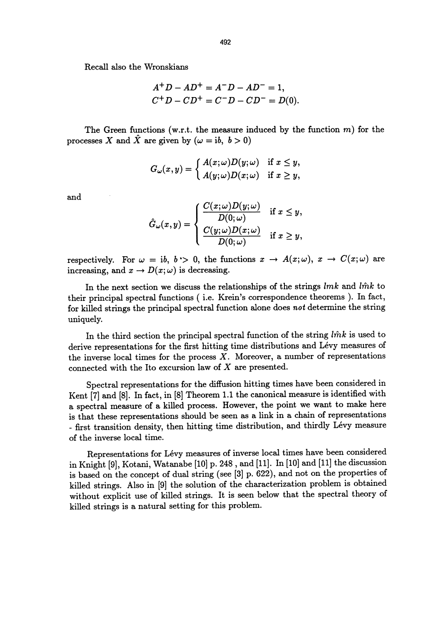Recall also the Wronskians

$$
A^{+} D - A D^{+} = A^{-} D - A D^{-} = 1,
$$
  

$$
C^{+} D - C D^{+} = C^{-} D - C D^{-} = D(0).
$$

The Green functions (w.r.t. the measure induced by the function  $m$ ) for the processes X and  $\hat{X}$  are given by  $(\omega = ib, b > 0)$ 

$$
G_{\omega}(x,y)=\left\{\begin{aligned} A(x;\omega)D(y;\omega) &\quad\text{if }x\leq y,\\ A(y;\omega)D(x;\omega) &\quad\text{if }x\geq y,\end{aligned}\right.
$$

and

$$
\hat{G}_{\omega}(x,y) = \begin{cases} \frac{C(x;\omega)D(y;\omega)}{D(0;\omega)} & \text{if } x \leq y, \\ \frac{C(y;\omega)D(x;\omega)}{D(0;\omega)} & \text{if } x \geq y, \end{cases}
$$

respectively. For  $\omega = ib$ ,  $b > 0$ , the functions  $x \to A(x;\omega)$ ,  $x \to C(x;\omega)$  are increasing, and  $x \to D(x;\omega)$  is decreasing.

In the next section we discuss the relationships of the strings  $lmk$  and  $\hat{lmk}$  to their principal spectral functions ( i.e. Krein's correspondence theorems ). In fact, for killed strings the principal spectral function alone does not determine the string uniquely.

In the third section the principal spectral function of the string  $\hat{lmk}$  is used to derive representations for the first hitting time distributions and Lévy measures of the inverse local times for the process  $X$ . Moreover, a number of representations connected with the Ito excursion law of X are presented.

Spectral representations for the diffusion hitting times have been considered in Kent [7] and [8]. In fact, in [8] Theorem 1.1 the canonical measure is identified with a spectral measure of a killed process. However, the point we want to make here - first transition density, then hitting time distribution, and thirdly Lévy measure of the inverse local time.

Representations for Lévy measures of inverse local times have been considered in Knight [9], Kotani, Watanabe [10] p. 248 , and [11]. In [10] and [11] the discussion is based on the concept of dual string (see [3] p. 622), and not on the properties of killed strings. Also in [9] the solution of the characterization problem is obtained without explicit use of killed strings. It is seen below that the spectral theory of killed strings is a natural setting for this problem.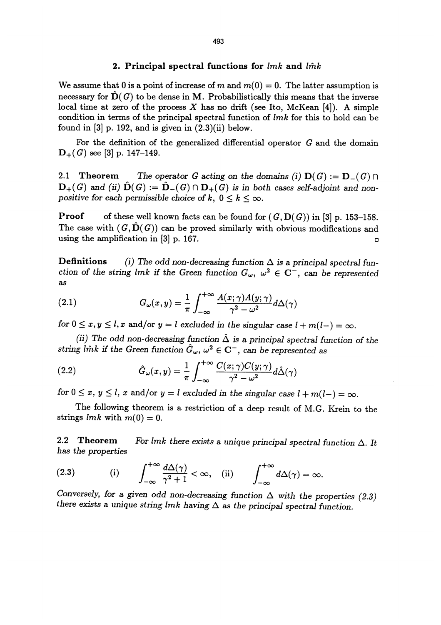### 2. Principal spectral functions for  $lmk$  and  $l\hat{m}k$

We assume that 0 is a point of increase of m and  $m(0) = 0$ . The latter assumption is necessary for  $\hat{D}(G)$  to be dense in M. Probabilistically this means that the inverse local time at zero of the process  $X$  has no drift (see Ito, McKean [4]). A simple condition in terms of the principal spectral function of  $lmk$  for this to hold can be found in  $[3]$  p. 192, and is given in  $(2.3)(ii)$  below.

For the definition of the generalized differential operator  $G$  and the domain  $D_{+}(G)$  see [3] p. 147-149.

2.1 Theorem The operator G acting on the domains (i)  $D(G) := D(G) \cap$  $\mathbf{D}_{+}(G)$  and (ii)  $\mathbf{D}(G) := \mathbf{D}_{-}(G) \cap \mathbf{D}_{+}(G)$  is in both cases self-adjoint and nonpositive for each permissible choice of k,  $0 \le k \le \infty$ .

**Proof** of these well known facts can be found for  $(G, D(G))$  in [3] p. 153-158. The case with  $(G, \hat{D}(G))$  can be proved similarly with obvious modifications and using the amplification in  $[3]$  p. 167.

**Definitions** (i) The odd non-decreasing function  $\Delta$  is a principal spectral function of the string lmk if the Green function  $G_{\omega}$ ,  $\omega^2 \in \mathbb{C}^-$ , can be represented as

(2.1) 
$$
G_{\omega}(x,y) = \frac{1}{\pi} \int_{-\infty}^{+\infty} \frac{A(x;\gamma)A(y;\gamma)}{\gamma^2 - \omega^2} d\Delta(\gamma)
$$

for  $0 \le x, y \le l$ , x and/or  $y = l$  excluded in the singular case  $l + m(l-) = \infty$ .

(ii) The odd non-decreasing function  $\hat{\Delta}$  is a principal spectral function of the

string *link* if the Green function 
$$
\hat{G}_{\omega}
$$
,  $\omega^2 \in \mathbb{C}^-$ , can be represented as  
\n(2.2) 
$$
\hat{G}_{\omega}(x,y) = \frac{1}{\pi} \int_{-\infty}^{+\infty} \frac{C(x;\gamma)C(y;\gamma)}{\gamma^2 - \omega^2} d\hat{\Delta}(\gamma)
$$
\nfor  $0 \leq x, y \leq l$ ,  $y \in \mathbb{R}$ ,  $l = 1, l = 1, l = 1, \dots, l$ .

for  $0 \le x, y \le l$ , x and/or  $y = l$  excluded in the singular case  $l + m(l-) = \infty$ .

The following theorem is a restriction of a deep result of M.G. Krein to the strings  $lmk$  with  $m(0) = 0$ .

2.2 Theorem For lmk there exists a unique principal spectral function  $\Delta$ . It has the properties

(2.3) (i) 
$$
\int_{-\infty}^{+\infty} \frac{d\Delta(\gamma)}{\gamma^2 + 1} < \infty
$$
, (ii)  $\int_{-\infty}^{+\infty} d\Delta(\gamma) = \infty$ .

Conversely, for a given odd non-decreasing function  $\Delta$  with the properties (2.3) there exists a unique string lmk having  $\Delta$  as the principal spectral function.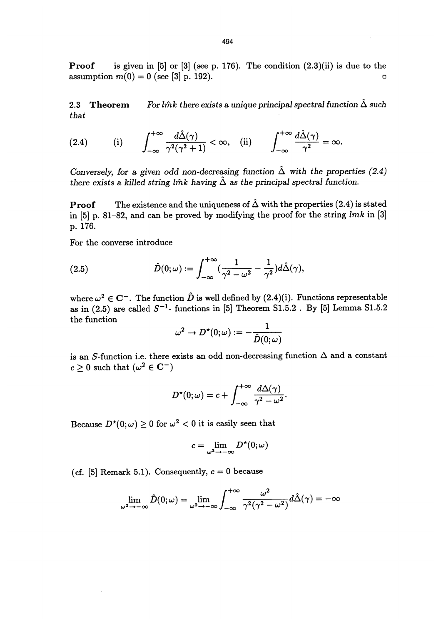**Proof** is given in [5] or [3] (see p. 176). The condition  $(2.3)(ii)$  is due to the  $\text{assumption } m(0) = 0 \text{ (see [3] p. 192)}.$ 

2.3 Theorem For l $\hat{m}k$  there exists a unique principal spectral function  $\hat{\Delta}$  such that  $\theta$  . That is a set of  $\theta$  is a set of  $\theta$  is a set of  $\theta$  is a set of  $\theta$  is a set of  $\theta$  is a set of  $\theta$  is a set of  $\theta$  is a set of  $\theta$  is a set of  $\theta$  is a set of  $\theta$  is a set of  $\theta$  is a set of  $\theta$  is a

(2.4) (i) 
$$
\int_{-\infty}^{+\infty} \frac{d\hat{\Delta}(\gamma)}{\gamma^2(\gamma^2+1)} < \infty
$$
, (ii)  $\int_{-\infty}^{+\infty} \frac{d\hat{\Delta}(\gamma)}{\gamma^2} = \infty$ .

Conversely, for a given odd non-decreasing function  $\hat{\Delta}$  with the properties (2.4) there exists a killed string lm<sup>k</sup> having  $\hat{\Delta}$  as the principal spectral function.

**Proof** The existence and the uniqueness of  $\hat{\Delta}$  with the properties (2.4) is stated in  $[5]$  p. 81-82, and can be proved by modifying the proof for the string  $lmk$  in  $[3]$ p. 176.

For the converse introduce

(2.5) 
$$
\hat{D}(0;\omega) := \int_{-\infty}^{+\infty} \left(\frac{1}{\gamma^2 - \omega^2} - \frac{1}{\gamma^2}\right) d\hat{\Delta}(\gamma),
$$

where  $\omega^2 \in \mathbb{C}^-$ . The function  $\hat{D}$  is well defined by (2.4)(i). Functions representable as in (2.5) are called  $S^{-1}$ - functions in [5] Theorem S1.5.2 . By [5] Lemma S1.5.2 the function

$$
\omega^2 \to D^\star(0;\omega) := -\frac{1}{\hat{D}(0;\omega)}
$$

is an S-function i.e. there exists an odd non-decreasing function  $\Delta$  and a constant  $c > 0$  such that  $(\omega^2 \in \mathbb{C}^-)$ 

$$
D^{\star}(0;\omega)=c+\int_{-\infty}^{+\infty}\frac{d\Delta(\gamma)}{\gamma^2-\omega^2}.
$$

Because  $D^*(0; \omega) \ge 0$  for  $\omega^2 < 0$  it is easily seen that

$$
c = \lim_{\omega^2 \to -\infty} D^{\star}(0; \omega)
$$

(cf. [5] Remark 5.1). Consequently,  $c = 0$  because

$$
\lim_{\omega^2 \to -\infty} \hat{D}(0; \omega) = \lim_{\omega^2 \to -\infty} \int_{-\infty}^{+\infty} \frac{\omega^2}{\gamma^2 (\gamma^2 - \omega^2)} d\hat{\Delta}(\gamma) = -\infty
$$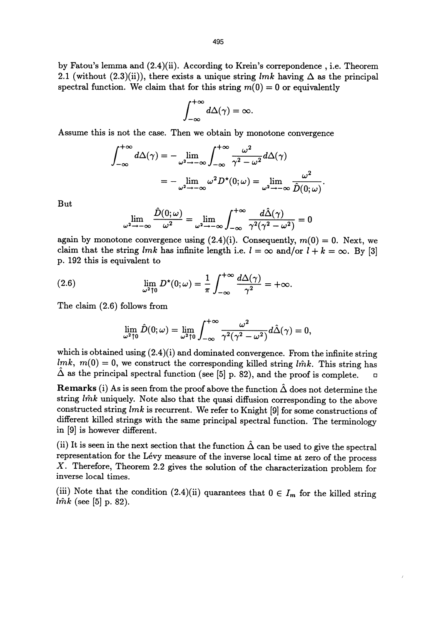by Fatou's lemma and (2.4)(ii). According to Krein's correpondence , i.e. Theorem 2.1 (without (2.3)(ii)), there exists a unique string lmk having  $\Delta$  as the principal spectral function. We claim that for this string  $m(0) = 0$  or equivalently

$$
\int_{-\infty}^{+\infty} d\Delta(\gamma) = \infty.
$$

Assume this is not the case. Then we obtain by monotone convergence

$$
\int_{-\infty}^{+\infty} d\Delta(\gamma) = -\lim_{\omega^2 \to -\infty} \int_{-\infty}^{+\infty} \frac{\omega^2}{\gamma^2 - \omega^2} d\Delta(\gamma)
$$

$$
= -\lim_{\omega^2 \to -\infty} \omega^2 D^*(0; \omega) = \lim_{\omega^2 \to -\infty} \frac{\omega^2}{\hat{D}(0; \omega)}.
$$
But

$$
\lim_{\omega^2 \to -\infty} \frac{\hat{D}(0; \omega)}{\omega^2} = \lim_{\omega^2 \to -\infty} \int_{-\infty}^{+\infty} \frac{d\hat{\Delta}(\gamma)}{\gamma^2(\gamma^2 - \omega^2)} = 0
$$

again by monotone convergence using  $(2.4)(i)$ . Consequently,  $m(0) = 0$ . Next, we claim that the string lmk has infinite length i.e.  $l = \infty$  and/or  $l + k = \infty$ . By [3] p. 192 this is equivalent to

(2.6) 
$$
\lim_{\omega^2 \uparrow 0} D^{\star}(0; \omega) = \frac{1}{\pi} \int_{-\infty}^{+\infty} \frac{d\Delta(\gamma)}{\gamma^2} = +\infty.
$$

The claim (2.6) follows from

$$
\lim_{\omega^2\uparrow 0}\hat{D}(0;\omega)=\lim_{\omega^2\uparrow 0}\int_{-\infty}^{+\infty}\frac{\omega^2}{\gamma^2(\gamma^2-\omega^2)}d\hat{\Delta}(\gamma)=0,
$$

which is obtained using  $(2.4)(i)$  and dominated convergence. From the infinite string  $lmk$ ,  $m(0) = 0$ , we construct the corresponding killed string lmk. This string has  $\Delta$  as the principal spectral function (see [5] p. 82), and the proof is complete.  $\Box$ 

Remarks (i) As is seen from the proof above the function  $\hat{\Delta}$  does not determine the string  $\hat{lmk}$  uniquely. Note also that the quasi diffusion corresponding to the above constructed string lmk is recurrent. We refer to Knight [9] for some constructions of different killed strings with the same principal spectral function. The terminology in [9] is however different.

(ii) It is seen in the next section that the function  $\hat{\Delta}$  can be used to give the spectral representation for the Levy measure of the inverse local time at zero of the process X. Therefore, Theorem 2.2 gives the solution of the characterization problem for inverse local times.

(iii) Note that the condition (2.4)(ii) quarantees that  $0 \in I_m$  for the killed string  $\hat{lmk}$  (see [5] p. 82).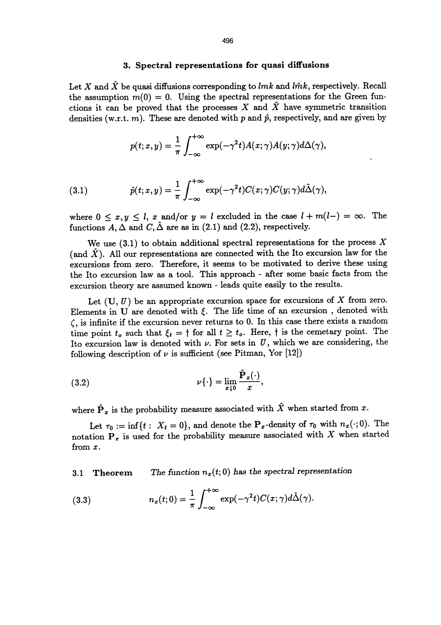### 3. Spectral representations for quasi diffusions

Let X and  $\hat{X}$  be quasi diffusions corresponding to lmk and lm<sup>k</sup>, respectively. Recall the assumption  $m(0) = 0$ . Using the spectral representations for the Green functions it can be proved that the processes X and  $\hat{X}$  have symmetric transition densities (w.r.t. m). These are denoted with p and  $\hat{p}$ , respectively, and are given by

$$
p(t; x, y) = \frac{1}{\pi} \int_{-\infty}^{+\infty} \exp(-\gamma^2 t) A(x; \gamma) A(y; \gamma) d\Delta(\gamma),
$$

(3.1) 
$$
\hat{p}(t;x,y) = \frac{1}{\pi} \int_{-\infty}^{+\infty} \exp(-\gamma^2 t) C(x;\gamma) C(y;\gamma) d\hat{\Delta}(\gamma),
$$

where  $0 \le x, y \le l$ , x and/or  $y = l$  excluded in the case  $l + m(l-) = \infty$ . The functions A,  $\Delta$  and C,  $\hat{\Delta}$  are as in (2.1) and (2.2), respectively.

We use  $(3.1)$  to obtain additional spectral representations for the process X (and  $\hat{X}$ ). All our representations are connected with the Ito excursion law for the excursions from zero. Therefore, it seems to be motivated to derive these using the Ito excursion law as a tool. This approach - after some basic facts from the excursion theory are assumed known - leads quite easily to the results.

Let  $(U, U)$  be an appropriate excursion space for excursions of X from zero. Elements in U are denoted with  $\xi$ . The life time of an excursion, denoted with  $\zeta$ , is infinite if the excursion never returns to 0. In this case there exists a random time point  $t_o$  such that  $\xi_t = \dagger$  for all  $t \geq t_o$ . Here,  $\dagger$  is the cemetary point. The Ito excursion law is denoted with  $\nu$ . For sets in  $U$ , which we are considering, the following description of  $\nu$  is sufficient (see Pitman, Yor [12])

(3.2) 
$$
\nu\{\cdot\} = \lim_{x \downarrow 0} \frac{\hat{\mathbf{P}}_x(\cdot)}{x},
$$

where  $\hat{\mathbf{P}}_x$  is the probability measure associated with  $\hat{X}$  when started from x.

Let  $\tau_0 := \inf\{t : X_t = 0\}$ , and denote the  $P_x$ -density of  $\tau_0$  with  $n_x(\cdot; 0)$ . The notation  $P_x$  is used for the probability measure associated with X when started from x.

3.1 Theorem The function  $n_x(t; 0)$  has the spectral representation

(3.3) 
$$
n_x(t;0) = \frac{1}{\pi} \int_{-\infty}^{+\infty} \exp(-\gamma^2 t) C(x;\gamma) d\hat{\Delta}(\gamma).
$$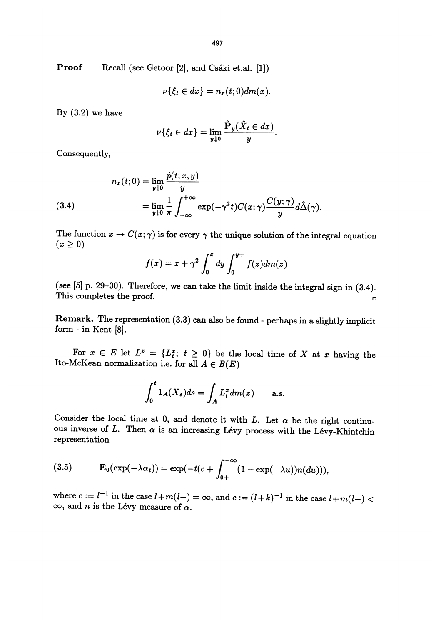Proof Recall (see Getoor [2], and Csaki et.al. [1])

$$
\nu\{\xi_t\in dx\}=n_x(t;0)dm(x).
$$

By  $(3.2)$  we have

$$
\nu\{\xi_t \in dx\} = \lim_{y \downarrow 0} \frac{\hat{\mathbf{P}}_y(\hat{X}_t \in dx)}{y}
$$

Consequently,

(3.4)  

$$
n_x(t;0) = \lim_{y \downarrow 0} \frac{\hat{p}(t;x,y)}{y}
$$

$$
= \lim_{y \downarrow 0} \frac{1}{\pi} \int_{-\infty}^{+\infty} \exp(-\gamma^2 t) C(x;\gamma) \frac{C(y;\gamma)}{y} d\hat{\Delta}(\gamma)
$$

The function  $x \to C(x;\gamma)$  is for every  $\gamma$  the unique solution of the integral equation  $(x \ge 0)$ 

$$
f(x) = x + \gamma^2 \int_0^x dy \int_0^{y+} f(z) dm(z)
$$

(see [5] p. 29-30). Therefore, we can take the limit inside the integral sign in (3.4). This completes the proof.

Remark. The representation (3.3) can also be found - perhaps in a slightly implicit form - in Kent [8].

For  $x \in E$  let  $L^x = \{L_i^x : t \geq 0\}$  be the local time of X at x having the Ito-McKean normalization i.e. for all  $A \in B(E)$ 

$$
\int_0^t 1_A(X_s)ds = \int_A L_t^x dm(x) \quad \text{a.s.}
$$

Consider the local time at 0, and denote it with L. Let  $\alpha$  be the right continu-<br>ous inverse of L. Then  $\alpha$  is an increasing Lévy process with the Lévy-Khintchin representation

(3.5) 
$$
\mathbf{E}_0(\exp(-\lambda \alpha_t)) = \exp(-t(c + \int_{0+}^{+\infty} (1 - \exp(-\lambda u))n(du))),
$$

where  $c := l^{-1}$  in the case  $l+m(l-) = \infty$ , and  $c := (l+k)^{-1}$  in the case  $l+m(l-) <$  $\infty$ , and *n* is the Lévy measure of  $\alpha$ .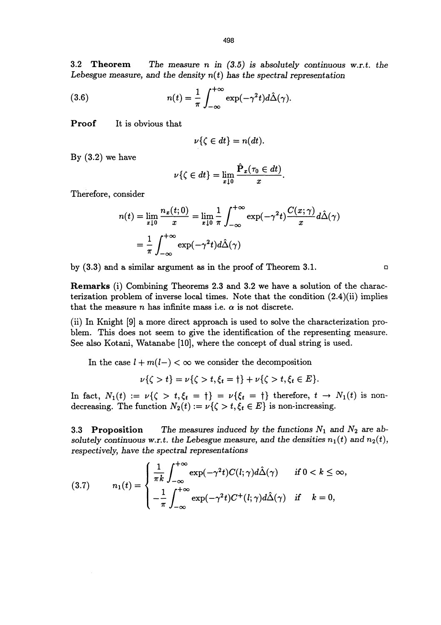3.2 Theorem The measure n in  $(3.5)$  is absolutely continuous w.r.t. the Lebesgue measure, and the density  $n(t)$  has the spectral representation

(3.6) 
$$
n(t) = \frac{1}{\pi} \int_{-\infty}^{+\infty} \exp(-\gamma^2 t) d\hat{\Delta}(\gamma).
$$

Proof It is obvious that

$$
\nu\{\zeta\in dt\}=n(dt).
$$

By  $(3.2)$  we have

$$
\nu\{\zeta \in dt\} = \lim_{x \downarrow 0} \frac{\hat{\mathbf{P}}_x(\tau_0 \in dt)}{x}.
$$

Therefore, consider

$$
n(t) = \lim_{x \downarrow 0} \frac{n_x(t;0)}{x} = \lim_{x \downarrow 0} \frac{1}{\pi} \int_{-\infty}^{+\infty} \exp(-\gamma^2 t) \frac{C(x;\gamma)}{x} d\hat{\Delta}(\gamma)
$$

$$
= \frac{1}{\pi} \int_{-\infty}^{+\infty} \exp(-\gamma^2 t) d\hat{\Delta}(\gamma)
$$

by  $(3.3)$  and a similar argument as in the proof of Theorem 3.1.

Remarks (i) Combining Theorems 2.3 and 3.2 we have a solution of the characterization problem of inverse local times. Note that the condition (2.4)(ii) implies that the measure n has infinite mass i.e.  $\alpha$  is not discrete.

(ii) In Knight [9] a more direct approach is used to solve the characterization problem. This does not seem to give the identification of the representing measure. See also Kotani, Watanabe [10], where the concept of dual string is used.

In the case  $l + m(l-) < \infty$  we consider the decomposition

$$
\nu\{\zeta > t\} = \nu\{\zeta > t, \xi_t = \dagger\} + \nu\{\zeta > t, \xi_t \in E\}.
$$

In fact,  $N_1(t) := \nu\{\zeta > t, \xi_t = \dagger\} = \nu\{\xi_t = \dagger\}$  therefore,  $t \to N_1(t)$  is nondecreasing. The function  $N_2(t) := \nu\{\zeta > t, \xi_t \in E\}$  is non-increasing.

3.3 Proposition The measures induced by the functions  $N_1$  and  $N_2$  are absolutely continuous w.r.t. the Lebesgue measure, and the densities  $n_1(t)$  and  $n_2(t)$ , respectively, have the spectral representations

(3.7) 
$$
n_1(t) = \begin{cases} \frac{1}{\pi k} \int_{-\infty}^{+\infty} \exp(-\gamma^2 t) C(l; \gamma) d\hat{\Delta}(\gamma) & \text{if } 0 < k \leq \infty, \\ -\frac{1}{\pi} \int_{-\infty}^{+\infty} \exp(-\gamma^2 t) C^+(l; \gamma) d\hat{\Delta}(\gamma) & \text{if } k = 0, \end{cases}
$$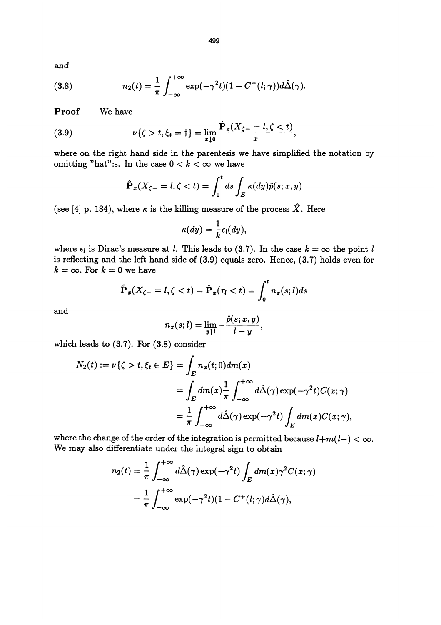and

(3.8) 
$$
n_2(t) = \frac{1}{\pi} \int_{-\infty}^{+\infty} \exp(-\gamma^2 t)(1 - C^+(l; \gamma))d\hat{\Delta}(\gamma).
$$

Proof We have

(3.9) 
$$
\nu\{\zeta > t, \xi_t = \dagger\} = \lim_{x \downarrow 0} \frac{\hat{\mathbf{P}}_x(X_{\zeta-} = l, \zeta < t)}{x},
$$

where on the right hand side in the parentesis we have simplified the notation by omitting "hat":s. In the case  $0 < k < \infty$  we have

$$
\hat{\mathbf{P}}_x(X_{\zeta-}=l,\zeta
$$

(see [4] p. 184), where  $\kappa$  is the killing measure of the process  $\hat{X}$ . Here

$$
\kappa(dy)=\frac{1}{k}\epsilon_l(dy),
$$

where  $\epsilon_l$  is Dirac's measure at *l*. This leads to (3.7). In the case  $k = \infty$  the point *l* is reflecting and the left hand side of (3.9) equals zero. Hence, (3.7) holds even for  $k = \infty$ . For  $k = 0$  we have

$$
\hat{\mathbf{P}}_x(X_{\zeta-}=l,\zeta
$$

and

$$
n_x(s; l) = \lim_{y \uparrow l} -\frac{\hat{p}(s; x, y)}{l-y},
$$

which leads to (3.7). For (3.8) consider

$$
N_2(t) := \nu\{\zeta > t, \xi_t \in E\} = \int_E n_x(t;0)dm(x)
$$
  
= 
$$
\int_E dm(x) \frac{1}{\pi} \int_{-\infty}^{+\infty} d\hat{\Delta}(\gamma) \exp(-\gamma^2 t) C(x;\gamma)
$$
  
= 
$$
\frac{1}{\pi} \int_{-\infty}^{+\infty} d\hat{\Delta}(\gamma) \exp(-\gamma^2 t) \int_E dm(x) C(x;\gamma),
$$

where the change of the order of the integration is permitted because  $l+m(l-) < \infty$ . We may also differentiate under the integral sign to obtain

$$
n_2(t) = \frac{1}{\pi} \int_{-\infty}^{+\infty} d\hat{\Delta}(\gamma) \exp(-\gamma^2 t) \int_E dm(x) \gamma^2 C(x; \gamma)
$$
  
= 
$$
\frac{1}{\pi} \int_{-\infty}^{+\infty} \exp(-\gamma^2 t) (1 - C^+(l; \gamma) d\hat{\Delta}(\gamma)),
$$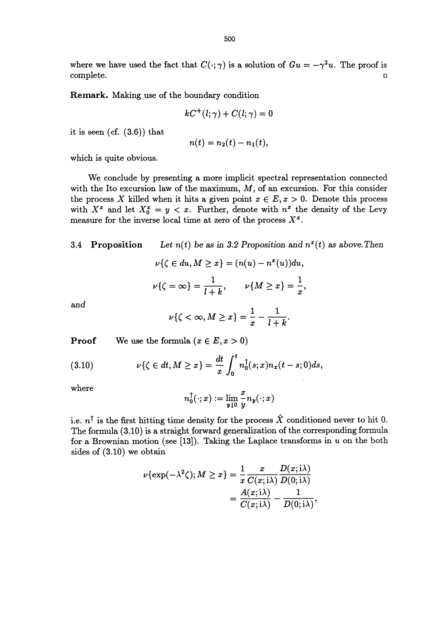where we have used the fact that  $C(\cdot; \gamma)$  is a solution of  $Gu = -\gamma^2 u$ . The proof is complete. complete.  $\Box$ 

Remark. Making use of the boundary condition

$$
kC^+(l;\gamma)+C(l;\gamma)=0
$$

it is seen (cf. (3.6)) that

$$
n(t) = n_2(t) - n_1(t),
$$

which is quite obvious.

We conclude by presenting a more implicit spectral representation connected with the Ito excursion law of the maximum,  $M$ , of an excursion. For this consider the process X killed when it hits a given point  $x \in E$ ,  $x > 0$ . Denote this process with  $X^x$  and let  $X_0^x = y < x$ . Further, denote with  $n^x$  the density of the Levy measure for the inverse local time at zero of the process  $X^x$ .

3.4 Proposition Let  $n(t)$  be as in 3.2 Proposition and  $n^x(t)$  as above. Then

$$
\nu\{\zeta \in du, M \ge x\} = (n(u) - n^x(u))du,
$$
  

$$
\nu\{\zeta = \infty\} = \frac{1}{l+k}, \qquad \nu\{M \ge x\} = \frac{1}{x},
$$

and

$$
\nu\{\zeta<\infty,M\geq x\}=\frac{1}{x}-\frac{1}{l+k}.
$$

**Proof** We use the formula  $(x \in E, x > 0)$ 

(3.10) 
$$
\nu\{\zeta \in dt, M \geq x\} = \frac{dt}{x} \int_0^t n_0^{\dagger}(s; x) n_x(t - s; 0) ds,
$$

where

$$
n_0^\uparrow(\cdot;x):=\lim_{\boldsymbol{y}\downarrow 0} \frac{x}{y} n_{\boldsymbol{y}}(\cdot;x)
$$

i.e.  $n^{\dagger}$  is the first hitting time density for the process  $\hat{X}$  conditioned never to hit 0. The formula (3.10) is a straight forward generalization of the corresponding formula for a Brownian motion (see [13]). Taking the Laplace transforms in  $u$  on the both sides of (3.10) we obtain

$$
\nu\{\exp(-\lambda^2\zeta); M \ge x\} = \frac{1}{x} \frac{x}{C(x;\lambda)} \frac{D(x;\lambda)}{D(0;\lambda)}
$$

$$
= \frac{A(x;\lambda)}{C(x;\lambda)} - \frac{1}{D(0;\lambda)},
$$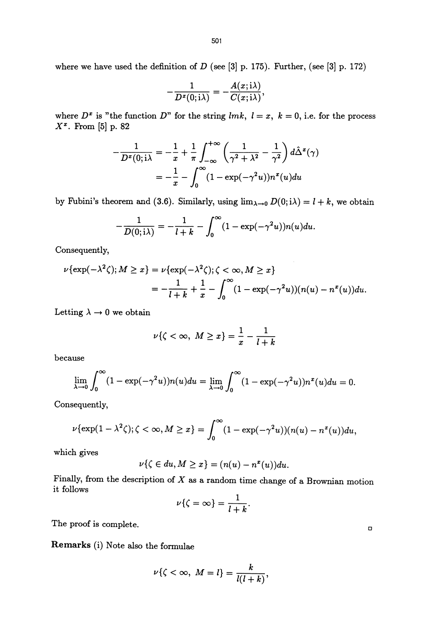where we have used the definition of  $D$  (see [3] p. 175). Further, (see [3] p. 172)

$$
-\frac{1}{D^x(0;\mathrm{i}\lambda)}=-\frac{A(x;\mathrm{i}\lambda)}{C(x;\mathrm{i}\lambda)},
$$

where  $D^x$  is "the function  $D^y$  for the string *lmk*,  $l = x$ ,  $k = 0$ , i.e. for the process  $X^x$ . From [5] p. 82

$$
-\frac{1}{D^x(0; i\lambda)} = -\frac{1}{x} + \frac{1}{\pi} \int_{-\infty}^{+\infty} \left(\frac{1}{\gamma^2 + \lambda^2} - \frac{1}{\gamma^2}\right) d\hat{\Delta}^x(\gamma)
$$

$$
= -\frac{1}{x} - \int_0^{\infty} (1 - \exp(-\gamma^2 u)) n^x(u) du
$$

by Fubini's theorem and (3.6). Similarly, using  $\lim_{\lambda\to 0} D(0; i\lambda) = l + k$ , we obtain

$$
-\frac{1}{D(0;\mathrm{i}\lambda)}=-\frac{1}{l+k}-\int_0^\infty(1-\exp(-\gamma^2u))n(u)du.
$$

Consequently,

$$
\nu\{\exp(-\lambda^2\zeta); M \ge x\} = \nu\{\exp(-\lambda^2\zeta); \zeta < \infty, M \ge x\}
$$
\n
$$
= -\frac{1}{l+k} + \frac{1}{x} - \int_0^\infty (1 - \exp(-\gamma^2 u))(n(u) - n^x(u))du.
$$

Letting  $\lambda \rightarrow 0$  we obtain

$$
\nu\{\zeta<\infty,\ M\geq x\}=\frac{1}{x}-\frac{1}{l+k}
$$

because

$$
\lim_{\lambda \to 0} \int_0^\infty (1 - \exp(-\gamma^2 u)) n(u) du = \lim_{\lambda \to 0} \int_0^\infty (1 - \exp(-\gamma^2 u)) n^x(u) du = 0.
$$

Consequently,

$$
\nu\{\exp(1-\lambda^2\zeta); \zeta<\infty,M\geq x\}=\int_0^\infty(1-\exp(-\gamma^2u))(n(u)-n^x(u))du,
$$

which gives

$$
\nu\{\zeta \in du, M \geq x\} = (n(u) - n^x(u))du.
$$

Finally, from the description of  $X$  as a random time change of a Brownian motion it follows

$$
\nu\{\zeta=\infty\}=\frac{1}{l+k}.
$$

The proof is complete.

Remarks (i) Note also the formulae

$$
\nu\{\zeta<\infty, \; M=l\}=\frac{k}{l(l+k)},
$$